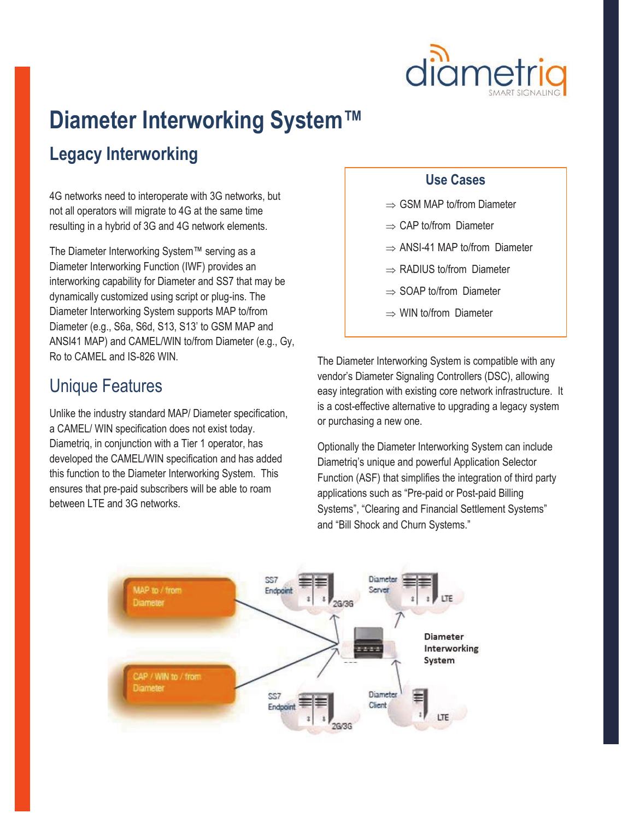

# **Diameter Interworking System™**

### **Legacy Interworking**

4G networks need to interoperate with 3G networks, but not all operators will migrate to 4G at the same time resulting in a hybrid of 3G and 4G network elements.

The Diameter Interworking System™ serving as a Diameter Interworking Function (IWF) provides an interworking capability for Diameter and SS7 that may be dynamically customized using script or plug-ins. The Diameter Interworking System supports MAP to/from Diameter (e.g., S6a, S6d, S13, S13' to GSM MAP and ANSI41 MAP) and CAMEL/WIN to/from Diameter (e.g., Gy, Ro to CAMEL and IS-826 WIN.

### Unique Features

Unlike the industry standard MAP/ Diameter specification, a CAMEL/ WIN specification does not exist today. Diametriq, in conjunction with a Tier 1 operator, has developed the CAMEL/WIN specification and has added this function to the Diameter Interworking System. This ensures that pre-paid subscribers will be able to roam between LTF and 3G networks.

#### **Use Cases**

- $\Rightarrow$  GSM MAP to/from Diameter
- $\Rightarrow$  CAP to/from Diameter
- $\Rightarrow$  ANSI-41 MAP to/from Diameter
- $\Rightarrow$  RADIUS to/from Diameter
- $\Rightarrow$  SOAP to/from Diameter
- $\Rightarrow$  WIN to/from Diameter

The Diameter Interworking System is compatible with any vendor's Diameter Signaling Controllers (DSC), allowing easy integration with existing core network infrastructure. It is a cost-effective alternative to upgrading a legacy system or purchasing a new one.

Optionally the Diameter Interworking System can include Diametriq's unique and powerful Application Selector Function (ASF) that simplifies the integration of third party applications such as "Pre-paid or Post-paid Billing Systems", "Clearing and Financial Settlement Systems" and "Bill Shock and Churn Systems."